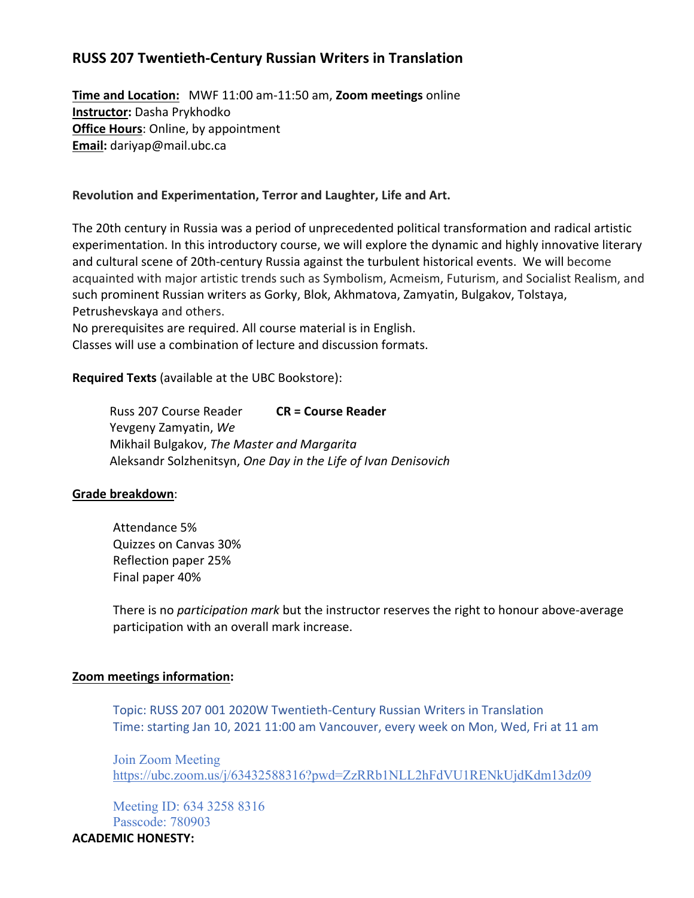# **RUSS 207 Twentieth-Century Russian Writers in Translation**

**Time and Location:** MWF 11:00 am-11:50 am, **Zoom meetings** online **Instructor:** Dasha Prykhodko **Office Hours:** Online, by appointment **Email:** dariyap@mail.ubc.ca

#### **Revolution and Experimentation, Terror and Laughter, Life and Art.**

The 20th century in Russia was a period of unprecedented political transformation and radical artistic experimentation. In this introductory course, we will explore the dynamic and highly innovative literary and cultural scene of 20th-century Russia against the turbulent historical events. We will become acquainted with major artistic trends such as Symbolism, Acmeism, Futurism, and Socialist Realism, and such prominent Russian writers as Gorky, Blok, Akhmatova, Zamyatin, Bulgakov, Tolstaya, Petrushevskaya and others.

No prerequisites are required. All course material is in English. Classes will use a combination of lecture and discussion formats.

**Required Texts** (available at the UBC Bookstore):

Russ 207 Course Reader **CR = Course Reader** Yevgeny Zamyatin, *We* Mikhail Bulgakov, *The Master and Margarita* Aleksandr Solzhenitsyn, *One Day in the Life of Ivan Denisovich*

#### **Grade breakdown**:

Attendance 5% Quizzes on Canvas 30% Reflection paper 25% Final paper 40%

There is no *participation mark* but the instructor reserves the right to honour above-average participation with an overall mark increase.

#### **Zoom meetings information:**

Topic: RUSS 207 001 2020W Twentieth-Century Russian Writers in Translation Time: starting Jan 10, 2021 11:00 am Vancouver, every week on Mon, Wed, Fri at 11 am

Join Zoom Meeting <https://ubc.zoom.us/j/63432588316?pwd=ZzRRb1NLL2hFdVU1RENkUjdKdm13dz09>

Meeting ID: 634 3258 8316 Passcode: 780903

## **ACADEMIC HONESTY:**